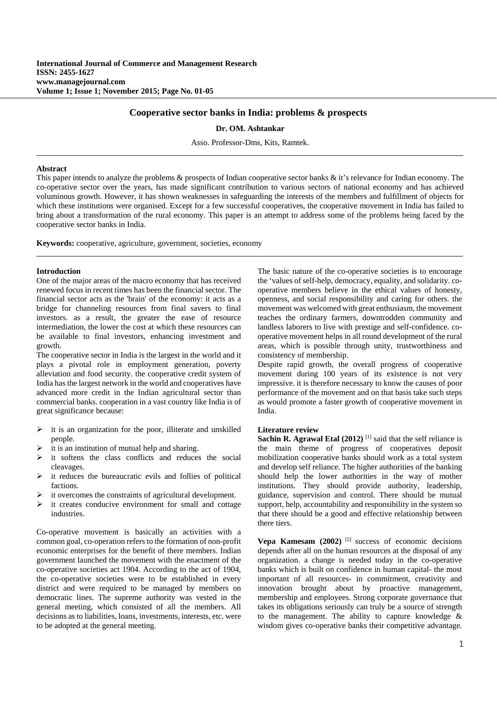# **Cooperative sector banks in India: problems & prospects**

**Dr. OM. Ashtankar**

Asso. Professor-Dms, Kits, Ramtek.

#### **Abstract**

This paper intends to analyze the problems & prospects of Indian cooperative sector banks & it's relevance for Indian economy. The co-operative sector over the years, has made significant contribution to various sectors of national economy and has achieved voluminous growth. However, it has shown weaknesses in safeguarding the interests of the members and fulfillment of objects for which these institutions were organised. Except for a few successful cooperatives, the cooperative movement in India has failed to bring about a transformation of the rural economy. This paper is an attempt to address some of the problems being faced by the cooperative sector banks in India.

**Keywords:** cooperative, agriculture, government, societies, economy

#### **Introduction**

One of the major areas of the macro economy that has received renewed focus in recent times has been the financial sector. The financial sector acts as the 'brain' of the economy: it acts as a bridge for channeling resources from final savers to final investors. as a result, the greater the ease of resource intermediation, the lower the cost at which these resources can be available to final investors, enhancing investment and growth.

The cooperative sector in India is the largest in the world and it plays a pivotal role in employment generation, poverty alleviation and food security. the cooperative credit system of India has the largest network in the world and cooperatives have advanced more credit in the Indian agricultural sector than commercial banks. cooperation in a vast country like India is of great significance because:

- it is an organization for the poor, illiterate and unskilled people.
- it is an institution of mutual help and sharing.
- $\triangleright$  it softens the class conflicts and reduces the social cleavages.
- it reduces the bureaucratic evils and follies of political factions.
- it overcomes the constraints of agricultural development.
- $\triangleright$  it creates conducive environment for small and cottage industries.

Co-operative movement is basically an activities with a common goal, co-operation refers to the formation of non-profit economic enterprises for the benefit of there members. Indian government launched the movement with the enactment of the co-operative societies act 1904. According to the act of 1904, the co-operative societies were to be established in every district and were required to be managed by members on democratic lines. The supreme authority was vested in the general meeting, which consisted of all the members. All decisions as to liabilities, loans, investments, interests, etc. were to be adopted at the general meeting.

The basic nature of the co-operative societies is to encourage the 'values of self-help, democracy, equality, and solidarity. cooperative members believe in the ethical values of honesty, openness, and social responsibility and caring for others. the movement was welcomed with great enthusiasm, the movement teaches the ordinary farmers, downtrodden community and landless laborers to live with prestige and self-confidence. cooperative movement helps in all round development of the rural areas, which is possible through unity, trustworthiness and consistency of membership.

Despite rapid growth, the overall progress of cooperative movement during 100 years of its existence is not very impressive. it is therefore necessary to know the causes of poor performance of the movement and on that basis take such steps as would promote a faster growth of cooperative movement in India.

#### **Literature review**

**Sachin R. Agrawal Etal (2012)** <sup>[1]</sup> said that the self reliance is the main theme of progress of cooperatives deposit mobilization cooperative banks should work as a total system and develop self reliance. The higher authorities of the banking should help the lower authorities in the way of mother institutions. They should provide authority, leadership, guidance, supervision and control. There should be mutual support, help, accountability and responsibility in the system so that there should be a good and effective relationship between there tiers.

**Vepa Kamesam (2002)** [2] success of economic decisions depends after all on the human resources at the disposal of any organization. a change is needed today in the co-operative banks which is built on confidence in human capital- the most important of all resources- in commitment, creativity and innovation brought about by proactive management, membership and employees. Strong corporate governance that takes its obligations seriously can truly be a source of strength to the management. The ability to capture knowledge & wisdom gives co-operative banks their competitive advantage.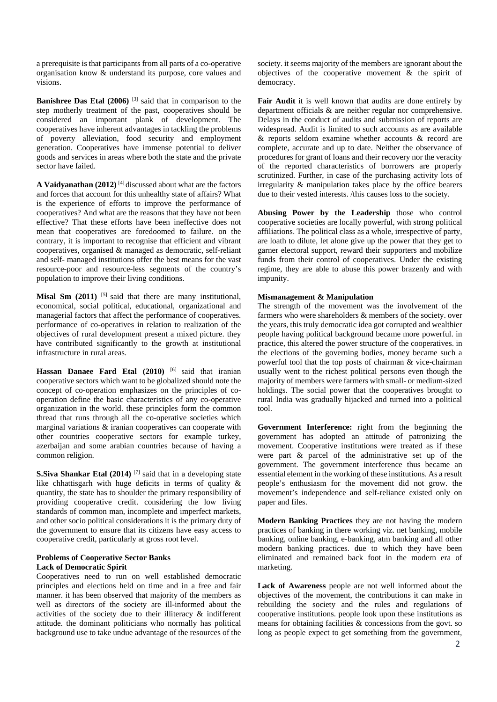a prerequisite is that participants from all parts of a co-operative organisation know & understand its purpose, core values and visions.

**Banishree Das Etal (2006)** [3] said that in comparison to the step motherly treatment of the past, cooperatives should be considered an important plank of development. The cooperatives have inherent advantages in tackling the problems of poverty alleviation, food security and employment generation. Cooperatives have immense potential to deliver goods and services in areas where both the state and the private sector have failed.

**A Vaidyanathan (2012)** [4] discussed about what are the factors and forces that account for this unhealthy state of affairs? What is the experience of efforts to improve the performance of cooperatives? And what are the reasons that they have not been effective? That these efforts have been ineffective does not mean that cooperatives are foredoomed to failure. on the contrary, it is important to recognise that efficient and vibrant cooperatives, organised & managed as democratic, self-reliant and self- managed institutions offer the best means for the vast resource-poor and resource-less segments of the country's population to improve their living conditions.

**Misal Sm (2011)** <sup>[5]</sup> said that there are many institutional, economical, social political, educational, organizational and managerial factors that affect the performance of cooperatives. performance of co-operatives in relation to realization of the objectives of rural development present a mixed picture. they have contributed significantly to the growth at institutional infrastructure in rural areas.

**Hassan Danaee Fard Etal (2010)** [6] said that iranian cooperative sectors which want to be globalized should note the concept of co-operation emphasizes on the principles of cooperation define the basic characteristics of any co-operative organization in the world. these principles form the common thread that runs through all the co-operative societies which marginal variations & iranian cooperatives can cooperate with other countries cooperative sectors for example turkey, azerbaijan and some arabian countries because of having a common religion.

**S.Siva Shankar Etal (2014)** <sup>[7]</sup> said that in a developing state like chhattisgarh with huge deficits in terms of quality  $\&$ quantity, the state has to shoulder the primary responsibility of providing cooperative credit. considering the low living standards of common man, incomplete and imperfect markets, and other socio political considerations it is the primary duty of the government to ensure that its citizens have easy access to cooperative credit, particularly at gross root level.

# **Problems of Cooperative Sector Banks Lack of Democratic Spirit**

Cooperatives need to run on well established democratic principles and elections held on time and in a free and fair manner. it has been observed that majority of the members as well as directors of the society are ill-informed about the activities of the society due to their illiteracy & indifferent attitude. the dominant politicians who normally has political background use to take undue advantage of the resources of the

society. it seems majority of the members are ignorant about the objectives of the cooperative movement & the spirit of democracy.

Fair Audit it is well known that audits are done entirely by department officials & are neither regular nor comprehensive. Delays in the conduct of audits and submission of reports are widespread. Audit is limited to such accounts as are available & reports seldom examine whether accounts & record are complete, accurate and up to date. Neither the observance of procedures for grant of loans and their recovery nor the veracity of the reported characteristics of borrowers are properly scrutinized. Further, in case of the purchasing activity lots of irregularity & manipulation takes place by the office bearers due to their vested interests. /this causes loss to the society.

**Abusing Power by the Leadership** those who control cooperative societies are locally powerful, with strong political affiliations. The political class as a whole, irrespective of party, are loath to dilute, let alone give up the power that they get to garner electoral support, reward their supporters and mobilize funds from their control of cooperatives. Under the existing regime, they are able to abuse this power brazenly and with impunity.

# **Mismanagement & Manipulation**

The strength of the movement was the involvement of the farmers who were shareholders & members of the society. over the years, this truly democratic idea got corrupted and wealthier people having political background became more powerful. in practice, this altered the power structure of the cooperatives. in the elections of the governing bodies, money became such a powerful tool that the top posts of chairman & vice-chairman usually went to the richest political persons even though the majority of members were farmers with small- or medium-sized holdings. The social power that the cooperatives brought to rural India was gradually hijacked and turned into a political tool.

**Government Interference:** right from the beginning the government has adopted an attitude of patronizing the movement. Cooperative institutions were treated as if these were part & parcel of the administrative set up of the government. The government interference thus became an essential element in the working of these institutions. As a result people's enthusiasm for the movement did not grow. the movement's independence and self-reliance existed only on paper and files.

**Modern Banking Practices** they are not having the modern practices of banking in there working viz. net banking, mobile banking, online banking, e-banking, atm banking and all other modern banking practices. due to which they have been eliminated and remained back foot in the modern era of marketing.

**Lack of Awareness** people are not well informed about the objectives of the movement, the contributions it can make in rebuilding the society and the rules and regulations of cooperative institutions. people look upon these institutions as means for obtaining facilities & concessions from the govt. so long as people expect to get something from the government,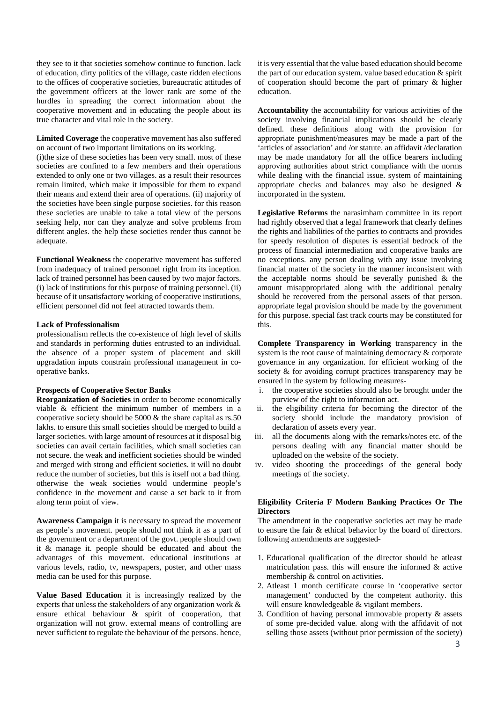they see to it that societies somehow continue to function. lack of education, dirty politics of the village, caste ridden elections to the offices of cooperative societies, bureaucratic attitudes of the government officers at the lower rank are some of the hurdles in spreading the correct information about the cooperative movement and in educating the people about its true character and vital role in the society.

**Limited Coverage** the cooperative movement has also suffered on account of two important limitations on its working.

(i)the size of these societies has been very small. most of these societies are confined to a few members and their operations extended to only one or two villages. as a result their resources remain limited, which make it impossible for them to expand their means and extend their area of operations. (ii) majority of the societies have been single purpose societies. for this reason these societies are unable to take a total view of the persons seeking help, nor can they analyze and solve problems from different angles. the help these societies render thus cannot be adequate.

**Functional Weakness** the cooperative movement has suffered from inadequacy of trained personnel right from its inception. lack of trained personnel has been caused by two major factors. (i) lack of institutions for this purpose of training personnel. (ii) because of it unsatisfactory working of cooperative institutions, efficient personnel did not feel attracted towards them.

### **Lack of Professionalism**

professionalism reflects the co-existence of high level of skills and standards in performing duties entrusted to an individual. the absence of a proper system of placement and skill upgradation inputs constrain professional management in cooperative banks.

#### **Prospects of Cooperative Sector Banks**

**Reorganization of Societies** in order to become economically viable & efficient the minimum number of members in a cooperative society should be 5000 & the share capital as rs.50 lakhs. to ensure this small societies should be merged to build a larger societies. with large amount of resources at it disposal big societies can avail certain facilities, which small societies can not secure. the weak and inefficient societies should be winded and merged with strong and efficient societies. it will no doubt reduce the number of societies, but this is itself not a bad thing. otherwise the weak societies would undermine people's confidence in the movement and cause a set back to it from along term point of view.

**Awareness Campaign** it is necessary to spread the movement as people's movement. people should not think it as a part of the government or a department of the govt. people should own it & manage it. people should be educated and about the advantages of this movement. educational institutions at various levels, radio, tv, newspapers, poster, and other mass media can be used for this purpose.

**Value Based Education** it is increasingly realized by the experts that unless the stakeholders of any organization work & ensure ethical behaviour & spirit of cooperation, that organization will not grow. external means of controlling are never sufficient to regulate the behaviour of the persons. hence,

it is very essential that the value based education should become the part of our education system. value based education & spirit of cooperation should become the part of primary & higher education.

**Accountability** the accountability for various activities of the society involving financial implications should be clearly defined. these definitions along with the provision for appropriate punishment/measures may be made a part of the 'articles of association' and /or statute. an affidavit /declaration may be made mandatory for all the office bearers including approving authorities about strict compliance with the norms while dealing with the financial issue. system of maintaining appropriate checks and balances may also be designed & incorporated in the system.

**Legislative Reforms** the narasimham committee in its report had rightly observed that a legal framework that clearly defines the rights and liabilities of the parties to contracts and provides for speedy resolution of disputes is essential bedrock of the process of financial intermediation and cooperative banks are no exceptions. any person dealing with any issue involving financial matter of the society in the manner inconsistent with the acceptable norms should be severally punished  $\&$  the amount misappropriated along with the additional penalty should be recovered from the personal assets of that person. appropriate legal provision should be made by the government for this purpose. special fast track courts may be constituted for this.

**Complete Transparency in Working** transparency in the system is the root cause of maintaining democracy & corporate governance in any organization. for efficient working of the society & for avoiding corrupt practices transparency may be ensured in the system by following measures-

- i. the cooperative societies should also be brought under the purview of the right to information act.
- ii. the eligibility criteria for becoming the director of the society should include the mandatory provision of declaration of assets every year.
- iii. all the documents along with the remarks/notes etc. of the persons dealing with any financial matter should be uploaded on the website of the society.
- iv. video shooting the proceedings of the general body meetings of the society.

# **Eligibility Criteria F Modern Banking Practices Or The Directors**

The amendment in the cooperative societies act may be made to ensure the fair & ethical behavior by the board of directors. following amendments are suggested-

- 1. Educational qualification of the director should be atleast matriculation pass. this will ensure the informed & active membership & control on activities.
- 2. Atleast 1 month certificate course in 'cooperative sector management' conducted by the competent authority. this will ensure knowledgeable & vigilant members.
- 3. Condition of having personal immovable property & assets of some pre-decided value. along with the affidavit of not selling those assets (without prior permission of the society)